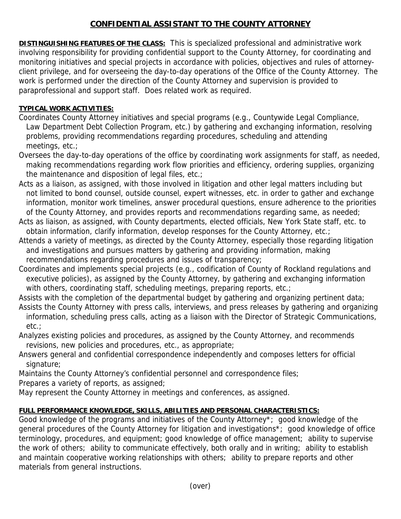## **CONFIDENTIAL ASSISTANT TO THE COUNTY ATTORNEY**

**DISTINGUISHING FEATURES OF THE CLASS:** This is specialized professional and administrative work involving responsibility for providing confidential support to the County Attorney, for coordinating and monitoring initiatives and special projects in accordance with policies, objectives and rules of attorneyclient privilege, and for overseeing the day-to-day operations of the Office of the County Attorney. The work is performed under the direction of the County Attorney and supervision is provided to paraprofessional and support staff. Does related work as required.

## **TYPICAL WORK ACTIVITIES:**

- Coordinates County Attorney initiatives and special programs (e.g., Countywide Legal Compliance, Law Department Debt Collection Program, etc.) by gathering and exchanging information, resolving problems, providing recommendations regarding procedures, scheduling and attending meetings, etc.;
- Oversees the day-to-day operations of the office by coordinating work assignments for staff, as needed, making recommendations regarding work flow priorities and efficiency, ordering supplies, organizing the maintenance and disposition of legal files, etc.;
- Acts as a liaison, as assigned, with those involved in litigation and other legal matters including but not limited to bond counsel, outside counsel, expert witnesses, etc. in order to gather and exchange information, monitor work timelines, answer procedural questions, ensure adherence to the priorities of the County Attorney, and provides reports and recommendations regarding same, as needed;
- Acts as liaison, as assigned, with County departments, elected officials, New York State staff, etc. to obtain information, clarify information, develop responses for the County Attorney, etc.;
- Attends a variety of meetings, as directed by the County Attorney, especially those regarding litigation and investigations and pursues matters by gathering and providing information, making recommendations regarding procedures and issues of transparency;
- Coordinates and implements special projects (e.g., codification of County of Rockland regulations and executive policies), as assigned by the County Attorney, by gathering and exchanging information with others, coordinating staff, scheduling meetings, preparing reports, etc.;
- Assists with the completion of the departmental budget by gathering and organizing pertinent data;
- Assists the County Attorney with press calls, interviews, and press releases by gathering and organizing information, scheduling press calls, acting as a liaison with the Director of Strategic Communications, etc.;
- Analyzes existing policies and procedures, as assigned by the County Attorney, and recommends revisions, new policies and procedures, etc., as appropriate;
- Answers general and confidential correspondence independently and composes letters for official signature;
- Maintains the County Attorney's confidential personnel and correspondence files;

Prepares a variety of reports, as assigned;

May represent the County Attorney in meetings and conferences, as assigned.

## **FULL PERFORMANCE KNOWLEDGE, SKILLS, ABILITIES AND PERSONAL CHARACTERISTICS:**

Good knowledge of the programs and initiatives of the County Attorney\*; good knowledge of the general procedures of the County Attorney for litigation and investigations\*; good knowledge of office terminology, procedures, and equipment; good knowledge of office management; ability to supervise the work of others; ability to communicate effectively, both orally and in writing; ability to establish and maintain cooperative working relationships with others; ability to prepare reports and other materials from general instructions.